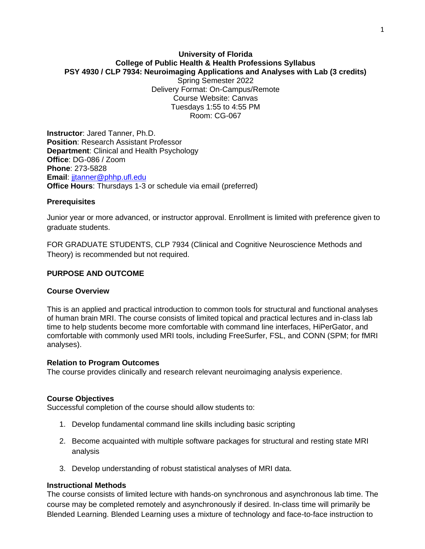# **University of Florida College of Public Health & Health Professions Syllabus PSY 4930 / CLP 7934: Neuroimaging Applications and Analyses with Lab (3 credits)**

Spring Semester 2022 Delivery Format: On-Campus/Remote Course Website: Canvas Tuesdays 1:55 to 4:55 PM Room: CG-067

**Instructor**: Jared Tanner, Ph.D. **Position**: Research Assistant Professor **Department**: Clinical and Health Psychology **Office**: DG-086 / Zoom **Phone**: 273-5828 **Email: jitanner@phhp.ufl.edu Office Hours**: Thursdays 1-3 or schedule via email (preferred)

#### **Prerequisites**

Junior year or more advanced, or instructor approval. Enrollment is limited with preference given to graduate students.

FOR GRADUATE STUDENTS, CLP 7934 (Clinical and Cognitive Neuroscience Methods and Theory) is recommended but not required.

#### **PURPOSE AND OUTCOME**

#### **Course Overview**

This is an applied and practical introduction to common tools for structural and functional analyses of human brain MRI. The course consists of limited topical and practical lectures and in-class lab time to help students become more comfortable with command line interfaces, HiPerGator, and comfortable with commonly used MRI tools, including FreeSurfer, FSL, and CONN (SPM; for fMRI analyses).

#### **Relation to Program Outcomes**

The course provides clinically and research relevant neuroimaging analysis experience.

#### **Course Objectives**

Successful completion of the course should allow students to:

- 1. Develop fundamental command line skills including basic scripting
- 2. Become acquainted with multiple software packages for structural and resting state MRI analysis
- 3. Develop understanding of robust statistical analyses of MRI data.

#### **Instructional Methods**

The course consists of limited lecture with hands-on synchronous and asynchronous lab time. The course may be completed remotely and asynchronously if desired. In-class time will primarily be Blended Learning. Blended Learning uses a mixture of technology and face-to-face instruction to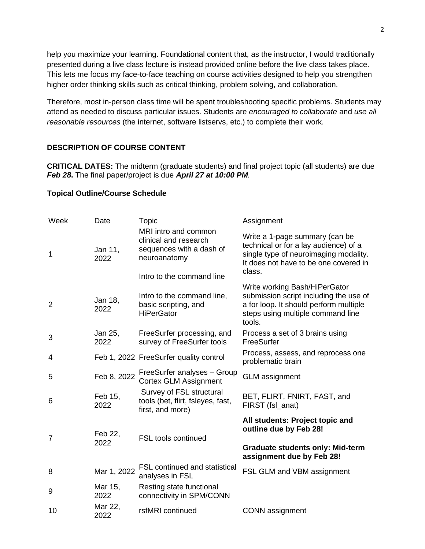help you maximize your learning. Foundational content that, as the instructor, I would traditionally presented during a live class lecture is instead provided online before the live class takes place. This lets me focus my face-to-face teaching on course activities designed to help you strengthen higher order thinking skills such as critical thinking, problem solving, and collaboration.

Therefore, most in-person class time will be spent troubleshooting specific problems. Students may attend as needed to discuss particular issues. Students are *encouraged to collaborate* and *use all reasonable resources* (the internet, software listservs, etc.) to complete their work.

### **DESCRIPTION OF COURSE CONTENT**

**CRITICAL DATES:** The midterm (graduate students) and final project topic (all students) are due *Feb 28***.** The final paper/project is due *April 27 at 10:00 PM.*

#### **Topical Outline/Course Schedule**

| Week           | Date            | Topic                                                                                                                  | Assignment                                                                                                                                                          |
|----------------|-----------------|------------------------------------------------------------------------------------------------------------------------|---------------------------------------------------------------------------------------------------------------------------------------------------------------------|
| 1              | Jan 11,<br>2022 | MRI intro and common<br>clinical and research<br>sequences with a dash of<br>neuroanatomy<br>Intro to the command line | Write a 1-page summary (can be<br>technical or for a lay audience) of a<br>single type of neuroimaging modality.<br>It does not have to be one covered in<br>class. |
| $\overline{2}$ | Jan 18,<br>2022 | Intro to the command line,<br>basic scripting, and<br><b>HiPerGator</b>                                                | Write working Bash/HiPerGator<br>submission script including the use of<br>a for loop. It should perform multiple<br>steps using multiple command line<br>tools.    |
| 3              | Jan 25,<br>2022 | FreeSurfer processing, and<br>survey of FreeSurfer tools                                                               | Process a set of 3 brains using<br>FreeSurfer                                                                                                                       |
| 4              |                 | Feb 1, 2022 FreeSurfer quality control                                                                                 | Process, assess, and reprocess one<br>problematic brain                                                                                                             |
| 5              | Feb 8, 2022     | FreeSurfer analyses - Group<br><b>Cortex GLM Assignment</b>                                                            | <b>GLM</b> assignment                                                                                                                                               |
| 6              | Feb 15,<br>2022 | Survey of FSL structural<br>tools (bet, flirt, fsleyes, fast,<br>first, and more)                                      | BET, FLIRT, FNIRT, FAST, and<br>FIRST (fsl_anat)                                                                                                                    |
| 7              | Feb 22,<br>2022 | <b>FSL tools continued</b>                                                                                             | All students: Project topic and<br>outline due by Feb 28!<br><b>Graduate students only: Mid-term</b><br>assignment due by Feb 28!                                   |
| 8              | Mar 1, 2022     | FSL continued and statistical<br>analyses in FSL                                                                       | FSL GLM and VBM assignment                                                                                                                                          |
| 9              | Mar 15,<br>2022 | Resting state functional<br>connectivity in SPM/CONN                                                                   |                                                                                                                                                                     |
| 10             | Mar 22,<br>2022 | rsfMRI continued                                                                                                       | <b>CONN</b> assignment                                                                                                                                              |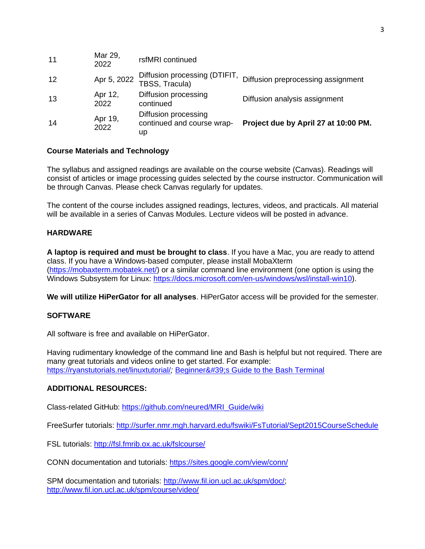| 14 | Apr 19,<br>2022 | Diffusion processing<br>continued and course wrap-<br>up | Project due by April 27 at 10:00 PM. |
|----|-----------------|----------------------------------------------------------|--------------------------------------|
| 13 | Apr 12,<br>2022 | Diffusion processing<br>continued                        | Diffusion analysis assignment        |
| 12 | Apr 5, 2022     | Diffusion processing (DTIFIT,<br>TBSS, Tracula)          | Diffusion preprocessing assignment   |
| 11 | Mar 29,<br>2022 | rsfMRI continued                                         |                                      |

### **Course Materials and Technology**

The syllabus and assigned readings are available on the course website (Canvas). Readings will consist of articles or image processing guides selected by the course instructor. Communication will be through Canvas. Please check Canvas regularly for updates.

The content of the course includes assigned readings, lectures, videos, and practicals. All material will be available in a series of Canvas Modules. Lecture videos will be posted in advance.

### **HARDWARE**

**A laptop is required and must be brought to class**. If you have a Mac, you are ready to attend class. If you have a Windows-based computer, please install MobaXterm [\(https://mobaxterm.mobatek.net/\)](https://mobaxterm.mobatek.net/) or a similar command line environment (one option is using the Windows Subsystem for Linux: [https://docs.microsoft.com/en-us/windows/wsl/install-win10\)](https://docs.microsoft.com/en-us/windows/wsl/install-win10).

**We will utilize HiPerGator for all analyses**. HiPerGator access will be provided for the semester.

#### **SOFTWARE**

All software is free and available on HiPerGator.

Having rudimentary knowledge of the command line and Bash is helpful but not required. There are many great tutorials and videos online to get started. For example: <https://ryanstutorials.net/linuxtutorial/>; [Beginner's Guide to the Bash Terminal](https://www.youtube.com/watch?v=oxuRxtrO2Ag)

#### **ADDITIONAL RESOURCES:**

Class-related GitHub: [https://github.com/neured/MRI\\_Guide/wiki](https://github.com/neured/MRI_Guide/wiki)

FreeSurfer tutorials:<http://surfer.nmr.mgh.harvard.edu/fswiki/FsTutorial/Sept2015CourseSchedule>

FSL tutorials:<http://fsl.fmrib.ox.ac.uk/fslcourse/>

CONN documentation and tutorials:<https://sites.google.com/view/conn/>

SPM documentation and tutorials: [http://www.fil.ion.ucl.ac.uk/spm/doc/;](http://www.fil.ion.ucl.ac.uk/spm/doc/) <http://www.fil.ion.ucl.ac.uk/spm/course/video/>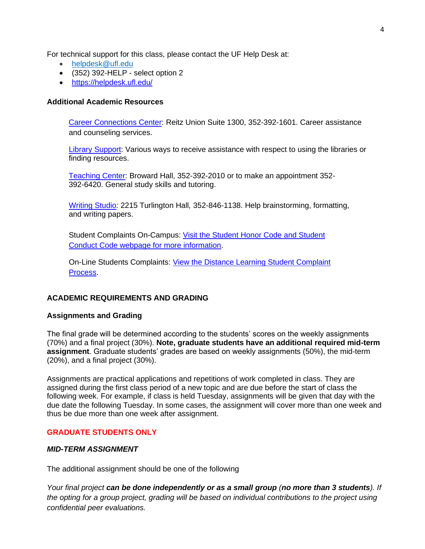For technical support for this class, please contact the UF Help Desk at:

- [helpdesk@ufl.edu](mailto:helpdesk@ufl.edu)
- (352) 392-HELP select option 2
- <https://helpdesk.ufl.edu/>

#### **Additional Academic Resources**

[Career Connections Center:](https://career.ufl.edu/) Reitz Union Suite 1300, 352-392-1601. Career assistance and counseling services.

**[Library Support:](https://cms.uflib.ufl.edu/ask)** Various ways to receive assistance with respect to using the libraries or finding resources.

[Teaching Center:](https://teachingcenter.ufl.edu/) Broward Hall, 352-392-2010 or to make an appointment 352- 392-6420. General study skills and tutoring.

[Writing Studio](https://writing.ufl.edu/writing-studio/)*:* 2215 Turlington Hall*,* 352-846-1138. Help brainstorming, formatting, and writing papers.

Student Complaints On-Campus: [Visit the Student Honor Code and Student](https://sccr.dso.ufl.edu/policies/student-honor-%20code-student-conduct-code/)  [Conduct Code webpage for more information.](https://sccr.dso.ufl.edu/policies/student-honor-%20code-student-conduct-code/)

On-Line Students Complaints: [View the Distance Learning Student Complaint](https://distance.ufl.edu/getting-help/student-complaint-process/)  [Process.](https://distance.ufl.edu/getting-help/student-complaint-process/)

### **ACADEMIC REQUIREMENTS AND GRADING**

#### **Assignments and Grading**

The final grade will be determined according to the students' scores on the weekly assignments (70%) and a final project (30%). **Note, graduate students have an additional required mid-term assignment**. Graduate students' grades are based on weekly assignments (50%), the mid-term (20%), and a final project (30%).

Assignments are practical applications and repetitions of work completed in class. They are assigned during the first class period of a new topic and are due before the start of class the following week. For example, if class is held Tuesday, assignments will be given that day with the due date the following Tuesday. In some cases, the assignment will cover more than one week and thus be due more than one week after assignment.

#### **GRADUATE STUDENTS ONLY**

#### *MID-TERM ASSIGNMENT*

The additional assignment should be one of the following

*Your final project can be done independently or as a small group (no more than 3 students). If the opting for a group project, grading will be based on individual contributions to the project using confidential peer evaluations.*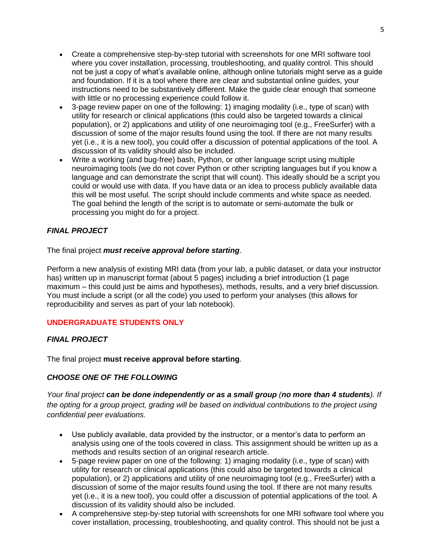- Create a comprehensive step-by-step tutorial with screenshots for one MRI software tool where you cover installation, processing, troubleshooting, and quality control. This should not be just a copy of what's available online, although online tutorials might serve as a guide and foundation. If it is a tool where there are clear and substantial online guides, your instructions need to be substantively different. Make the guide clear enough that someone with little or no processing experience could follow it.
- 3-page review paper on one of the following: 1) imaging modality (i.e., type of scan) with utility for research or clinical applications (this could also be targeted towards a clinical population), or 2) applications and utility of one neuroimaging tool (e.g., FreeSurfer) with a discussion of some of the major results found using the tool. If there are not many results yet (i.e., it is a new tool), you could offer a discussion of potential applications of the tool. A discussion of its validity should also be included.
- Write a working (and bug-free) bash, Python, or other language script using multiple neuroimaging tools (we do not cover Python or other scripting languages but if you know a language and can demonstrate the script that will count). This ideally should be a script you could or would use with data. If you have data or an idea to process publicly available data this will be most useful. The script should include comments and white space as needed. The goal behind the length of the script is to automate or semi-automate the bulk or processing you might do for a project.

## *FINAL PROJECT*

The final project *must receive approval before starting*.

Perform a new analysis of existing MRI data (from your lab, a public dataset, or data your instructor has) written up in manuscript format (about 5 pages) including a brief introduction (1 page maximum – this could just be aims and hypotheses), methods, results, and a very brief discussion. You must include a script (or all the code) you used to perform your analyses (this allows for reproducibility and serves as part of your lab notebook).

### **UNDERGRADUATE STUDENTS ONLY**

### *FINAL PROJECT*

The final project **must receive approval before starting**.

### *CHOOSE ONE OF THE FOLLOWING*

*Your final project can be done independently or as a small group (no more than 4 students). If the opting for a group project, grading will be based on individual contributions to the project using confidential peer evaluations.*

- Use publicly available, data provided by the instructor, or a mentor's data to perform an analysis using one of the tools covered in class. This assignment should be written up as a methods and results section of an original research article.
- 5-page review paper on one of the following: 1) imaging modality (i.e., type of scan) with utility for research or clinical applications (this could also be targeted towards a clinical population), or 2) applications and utility of one neuroimaging tool (e.g., FreeSurfer) with a discussion of some of the major results found using the tool. If there are not many results yet (i.e., it is a new tool), you could offer a discussion of potential applications of the tool. A discussion of its validity should also be included.
- A comprehensive step-by-step tutorial with screenshots for one MRI software tool where you cover installation, processing, troubleshooting, and quality control. This should not be just a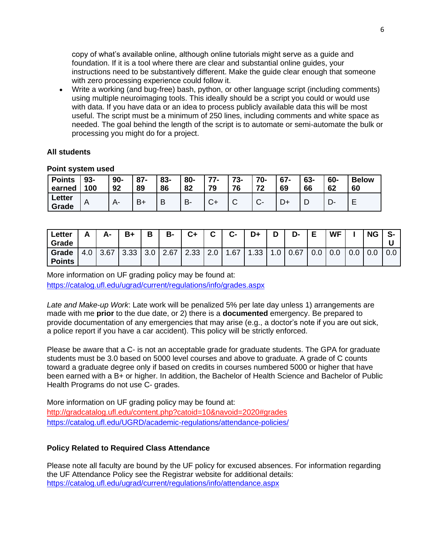copy of what's available online, although online tutorials might serve as a guide and foundation. If it is a tool where there are clear and substantial online guides, your instructions need to be substantively different. Make the guide clear enough that someone with zero processing experience could follow it.

• Write a working (and bug-free) bash, python, or other language script (including comments) using multiple neuroimaging tools. This ideally should be a script you could or would use with data. If you have data or an idea to process publicly available data this will be most useful. The script must be a minimum of 250 lines, including comments and white space as needed. The goal behind the length of the script is to automate or semi-automate the bulk or processing you might do for a project.

#### **All students**

| <b>Points</b>   | $93 -$ | $90-$ | $87 -$ | 83- | 80- | $77-$ | $73 -$ | 70- | $67 -$ | 63- | 60- | <b>Below</b> |
|-----------------|--------|-------|--------|-----|-----|-------|--------|-----|--------|-----|-----|--------------|
| earned          | 100    | 92    | 89     | 86  | 82  | 79    | 76     | 72  | 69     | 66  | 62  | 60           |
| Letter<br>Grade | A      | А-    | $B+$   | В   | B   |       | ັ      |     |        | L   |     |              |

#### **Point system used**

| Letter<br>Grade        | А                  | А-   | $B+$                 | В   | <b>B-</b> | $C+$ |     | C-  | D+                | D   | D-   | Е | <b>WF</b> |     | <b>NG</b> | S-  |
|------------------------|--------------------|------|----------------------|-----|-----------|------|-----|-----|-------------------|-----|------|---|-----------|-----|-----------|-----|
| Grade<br><b>Points</b> | $\Omega$<br>$-4.6$ | 3.67 | 3.33<br>$\mathbf{r}$ | 3.0 | 2.67      | 2.33 | z.u | .67 | 1.33 <sub>1</sub> | ט.ו | 0.67 |   | 0.0       | v.v |           | 0.0 |

More information on UF grading policy may be found at:

<https://catalog.ufl.edu/ugrad/current/regulations/info/grades.aspx>

*Late and Make-up Work*: Late work will be penalized 5% per late day unless 1) arrangements are made with me **prior** to the due date, or 2) there is a **documented** emergency. Be prepared to provide documentation of any emergencies that may arise (e.g., a doctor's note if you are out sick, a police report if you have a car accident). This policy will be strictly enforced.

Please be aware that a C- is not an acceptable grade for graduate students. The GPA for graduate students must be 3.0 based on 5000 level courses and above to graduate. A grade of C counts toward a graduate degree only if based on credits in courses numbered 5000 or higher that have been earned with a B+ or higher. In addition, the Bachelor of Health Science and Bachelor of Public Health Programs do not use C- grades.

More information on UF grading policy may be found at: <http://gradcatalog.ufl.edu/content.php?catoid=10&navoid=2020#grades> <https://catalog.ufl.edu/UGRD/academic-regulations/attendance-policies/>

### **Policy Related to Required Class Attendance**

Please note all faculty are bound by the UF policy for excused absences. For information regarding the UF Attendance Policy see the Registrar website for additional details: <https://catalog.ufl.edu/ugrad/current/regulations/info/attendance.aspx>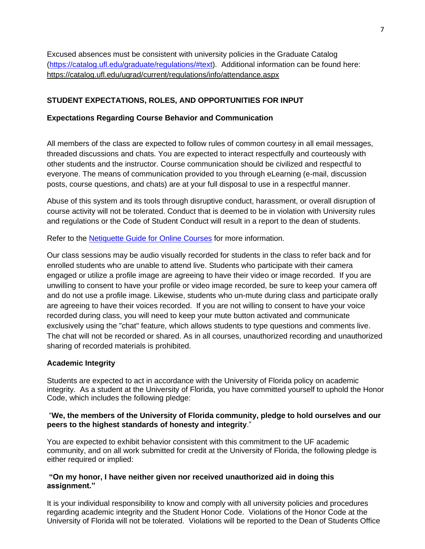Excused absences must be consistent with university policies in the Graduate Catalog [\(https://catalog.ufl.edu/graduate/regulations/#text\)](https://catalog.ufl.edu/graduate/regulations/#text). Additional information can be found here: <https://catalog.ufl.edu/ugrad/current/regulations/info/attendance.aspx>

# **STUDENT EXPECTATIONS, ROLES, AND OPPORTUNITIES FOR INPUT**

## **Expectations Regarding Course Behavior and Communication**

All members of the class are expected to follow rules of common courtesy in all email messages, threaded discussions and chats. You are expected to interact respectfully and courteously with other students and the instructor. Course communication should be civilized and respectful to everyone. The means of communication provided to you through eLearning (e-mail, discussion posts, course questions, and chats) are at your full disposal to use in a respectful manner.

Abuse of this system and its tools through disruptive conduct, harassment, or overall disruption of course activity will not be tolerated. Conduct that is deemed to be in violation with University rules and regulations or the Code of Student Conduct will result in a report to the dean of students.

Refer to the [Netiquette Guide for Online Courses](http://teach.ufl.edu/wp-content/uploads/2012/08/NetiquetteGuideforOnlineCourses.pdf) for more information.

Our class sessions may be audio visually recorded for students in the class to refer back and for enrolled students who are unable to attend live. Students who participate with their camera engaged or utilize a profile image are agreeing to have their video or image recorded. If you are unwilling to consent to have your profile or video image recorded, be sure to keep your camera off and do not use a profile image. Likewise, students who un-mute during class and participate orally are agreeing to have their voices recorded. If you are not willing to consent to have your voice recorded during class, you will need to keep your mute button activated and communicate exclusively using the "chat" feature, which allows students to type questions and comments live. The chat will not be recorded or shared. As in all courses, unauthorized recording and unauthorized sharing of recorded materials is prohibited.

# **Academic Integrity**

Students are expected to act in accordance with the University of Florida policy on academic integrity. As a student at the University of Florida, you have committed yourself to uphold the Honor Code, which includes the following pledge:

### "**We, the members of the University of Florida community, pledge to hold ourselves and our peers to the highest standards of honesty and integrity**."

You are expected to exhibit behavior consistent with this commitment to the UF academic community, and on all work submitted for credit at the University of Florida, the following pledge is either required or implied:

### **"On my honor, I have neither given nor received unauthorized aid in doing this assignment."**

It is your individual responsibility to know and comply with all university policies and procedures regarding academic integrity and the Student Honor Code. Violations of the Honor Code at the University of Florida will not be tolerated. Violations will be reported to the Dean of Students Office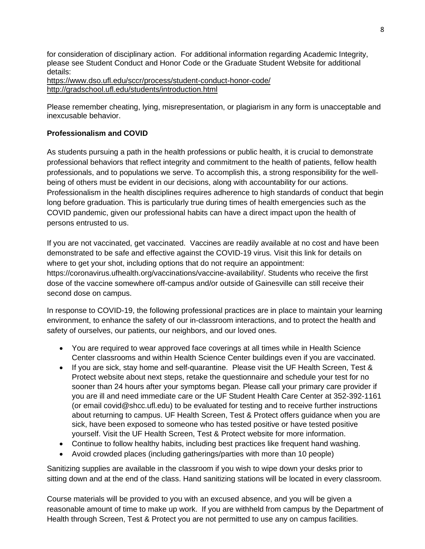for consideration of disciplinary action. For additional information regarding Academic Integrity, please see Student Conduct and Honor Code or the Graduate Student Website for additional details:

<https://www.dso.ufl.edu/sccr/process/student-conduct-honor-code/> <http://gradschool.ufl.edu/students/introduction.html>

Please remember cheating, lying, misrepresentation, or plagiarism in any form is unacceptable and inexcusable behavior.

# **Professionalism and COVID**

As students pursuing a path in the health professions or public health, it is crucial to demonstrate professional behaviors that reflect integrity and commitment to the health of patients, fellow health professionals, and to populations we serve. To accomplish this, a strong responsibility for the wellbeing of others must be evident in our decisions, along with accountability for our actions. Professionalism in the health disciplines requires adherence to high standards of conduct that begin long before graduation. This is particularly true during times of health emergencies such as the COVID pandemic, given our professional habits can have a direct impact upon the health of persons entrusted to us.

If you are not vaccinated, get vaccinated. Vaccines are readily available at no cost and have been demonstrated to be safe and effective against the COVID-19 virus. Visit this link for details on where to get your shot, including options that do not require an appointment: https://coronavirus.ufhealth.org/vaccinations/vaccine-availability/. Students who receive the first dose of the vaccine somewhere off-campus and/or outside of Gainesville can still receive their second dose on campus.

In response to COVID-19, the following professional practices are in place to maintain your learning environment, to enhance the safety of our in-classroom interactions, and to protect the health and safety of ourselves, our patients, our neighbors, and our loved ones.

- You are required to wear approved face coverings at all times while in Health Science Center classrooms and within Health Science Center buildings even if you are vaccinated.
- If you are sick, stay home and self-quarantine. Please visit the UF Health Screen, Test & Protect website about next steps, retake the questionnaire and schedule your test for no sooner than 24 hours after your symptoms began. Please call your primary care provider if you are ill and need immediate care or the UF Student Health Care Center at 352-392-1161 (or email covid@shcc.ufl.edu) to be evaluated for testing and to receive further instructions about returning to campus. UF Health Screen, Test & Protect offers guidance when you are sick, have been exposed to someone who has tested positive or have tested positive yourself. Visit the UF Health Screen, Test & Protect website for more information.
- Continue to follow healthy habits, including best practices like frequent hand washing.
- Avoid crowded places (including gatherings/parties with more than 10 people)

Sanitizing supplies are available in the classroom if you wish to wipe down your desks prior to sitting down and at the end of the class. Hand sanitizing stations will be located in every classroom.

Course materials will be provided to you with an excused absence, and you will be given a reasonable amount of time to make up work. If you are withheld from campus by the Department of Health through Screen, Test & Protect you are not permitted to use any on campus facilities.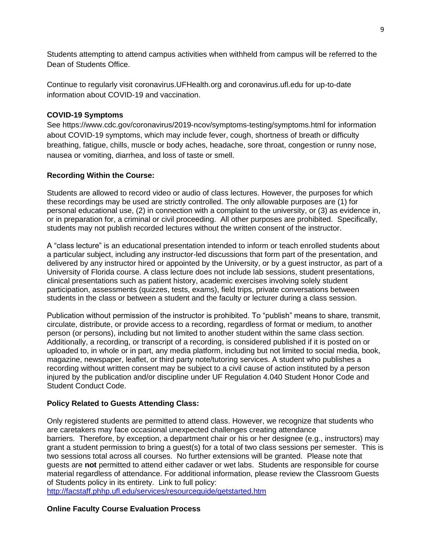Students attempting to attend campus activities when withheld from campus will be referred to the Dean of Students Office.

Continue to regularly visit coronavirus.UFHealth.org and coronavirus.ufl.edu for up-to-date information about COVID-19 and vaccination.

## **COVID-19 Symptoms**

See https://www.cdc.gov/coronavirus/2019-ncov/symptoms-testing/symptoms.html for information about COVID-19 symptoms, which may include fever, cough, shortness of breath or difficulty breathing, fatigue, chills, muscle or body aches, headache, sore throat, congestion or runny nose, nausea or vomiting, diarrhea, and loss of taste or smell.

## **Recording Within the Course:**

Students are allowed to record video or audio of class lectures. However, the purposes for which these recordings may be used are strictly controlled. The only allowable purposes are (1) for personal educational use, (2) in connection with a complaint to the university, or (3) as evidence in, or in preparation for, a criminal or civil proceeding. All other purposes are prohibited. Specifically, students may not publish recorded lectures without the written consent of the instructor.

A "class lecture" is an educational presentation intended to inform or teach enrolled students about a particular subject, including any instructor-led discussions that form part of the presentation, and delivered by any instructor hired or appointed by the University, or by a guest instructor, as part of a University of Florida course. A class lecture does not include lab sessions, student presentations, clinical presentations such as patient history, academic exercises involving solely student participation, assessments (quizzes, tests, exams), field trips, private conversations between students in the class or between a student and the faculty or lecturer during a class session.

Publication without permission of the instructor is prohibited. To "publish" means to share, transmit, circulate, distribute, or provide access to a recording, regardless of format or medium, to another person (or persons), including but not limited to another student within the same class section. Additionally, a recording, or transcript of a recording, is considered published if it is posted on or uploaded to, in whole or in part, any media platform, including but not limited to social media, book, magazine, newspaper, leaflet, or third party note/tutoring services. A student who publishes a recording without written consent may be subject to a civil cause of action instituted by a person injured by the publication and/or discipline under UF Regulation 4.040 Student Honor Code and Student Conduct Code.

# **Policy Related to Guests Attending Class:**

Only registered students are permitted to attend class. However, we recognize that students who are caretakers may face occasional unexpected challenges creating attendance barriers. Therefore, by exception, a department chair or his or her designee (e.g., instructors) may grant a student permission to bring a guest(s) for a total of two class sessions per semester. This is two sessions total across all courses. No further extensions will be granted. Please note that guests are **not** permitted to attend either cadaver or wet labs. Students are responsible for course material regardless of attendance. For additional information, please review the Classroom Guests of Students policy in its entirety. Link to full policy:

<http://facstaff.phhp.ufl.edu/services/resourceguide/getstarted.htm>

# **Online Faculty Course Evaluation Process**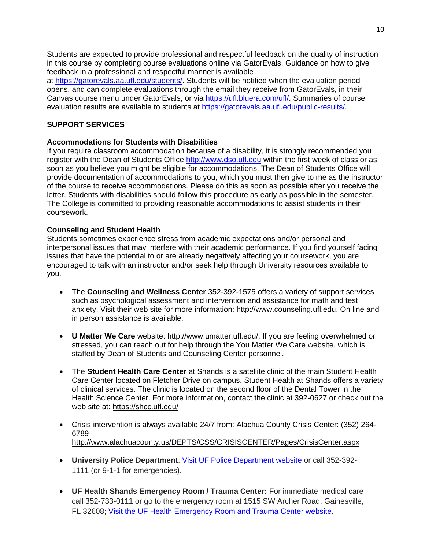Students are expected to provide professional and respectful feedback on the quality of instruction in this course by completing course evaluations online via GatorEvals. Guidance on how to give feedback in a professional and respectful manner is available

at [https://gatorevals.aa.ufl.edu/students/.](https://gatorevals.aa.ufl.edu/students/) Students will be notified when the evaluation period opens, and can complete evaluations through the email they receive from GatorEvals, in their Canvas course menu under GatorEvals, or via [https://ufl.bluera.com/ufl/.](https://urldefense.proofpoint.com/v2/url?u=https-3A__ufl.bluera.com_ufl_&d=DwMFAg&c=sJ6xIWYx-zLMB3EPkvcnVg&r=y2HjEMjRMHJhfdvLrqJZlYczRsfp5e4TfQjHuc5rVHg&m=WXko6OK_Ha6T00ZVAsEaSh99qRXHOgMNFRywCoehRho&s=itVU46DDJjnIg4CW6efJOOLgPjdzsPvCghyfzJoFONs&e=) Summaries of course evaluation results are available to students at [https://gatorevals.aa.ufl.edu/public-results/.](https://gatorevals.aa.ufl.edu/public-results/)

## **SUPPORT SERVICES**

## **Accommodations for Students with Disabilities**

If you require classroom accommodation because of a disability, it is strongly recommended you register with the Dean of Students Office [http://www.dso.ufl.edu](http://www.dso.ufl.edu/) within the first week of class or as soon as you believe you might be eligible for accommodations. The Dean of Students Office will provide documentation of accommodations to you, which you must then give to me as the instructor of the course to receive accommodations. Please do this as soon as possible after you receive the letter. Students with disabilities should follow this procedure as early as possible in the semester. The College is committed to providing reasonable accommodations to assist students in their coursework.

### **Counseling and Student Health**

Students sometimes experience stress from academic expectations and/or personal and interpersonal issues that may interfere with their academic performance. If you find yourself facing issues that have the potential to or are already negatively affecting your coursework, you are encouraged to talk with an instructor and/or seek help through University resources available to you.

- The **Counseling and Wellness Center** 352-392-1575 offers a variety of support services such as psychological assessment and intervention and assistance for math and test anxiety. Visit their web site for more information: [http://www.counseling.ufl.edu.](http://www.counseling.ufl.edu/) On line and in person assistance is available.
- **U Matter We Care** website: [http://www.umatter.ufl.edu/.](http://www.umatter.ufl.edu/) If you are feeling overwhelmed or stressed, you can reach out for help through the You Matter We Care website, which is staffed by Dean of Students and Counseling Center personnel.
- The **Student Health Care Center** at Shands is a satellite clinic of the main Student Health Care Center located on Fletcher Drive on campus. Student Health at Shands offers a variety of clinical services. The clinic is located on the second floor of the Dental Tower in the Health Science Center. For more information, contact the clinic at 392-0627 or check out the web site at: <https://shcc.ufl.edu/>
- Crisis intervention is always available 24/7 from: Alachua County Crisis Center: (352) 264- 6789 <http://www.alachuacounty.us/DEPTS/CSS/CRISISCENTER/Pages/CrisisCenter.aspx>
- **University Police Department**: [Visit UF Police Department website](https://police.ufl.edu/) or call 352-392- 1111 (or 9-1-1 for emergencies).
- **UF Health Shands Emergency Room / Trauma Center:** For immediate medical care call 352-733-0111 or go to the emergency room at 1515 SW Archer Road, Gainesville, FL 32608; [Visit the UF Health Emergency Room and Trauma Center website.](https://ufhealth.org/emergency-room-trauma-center)